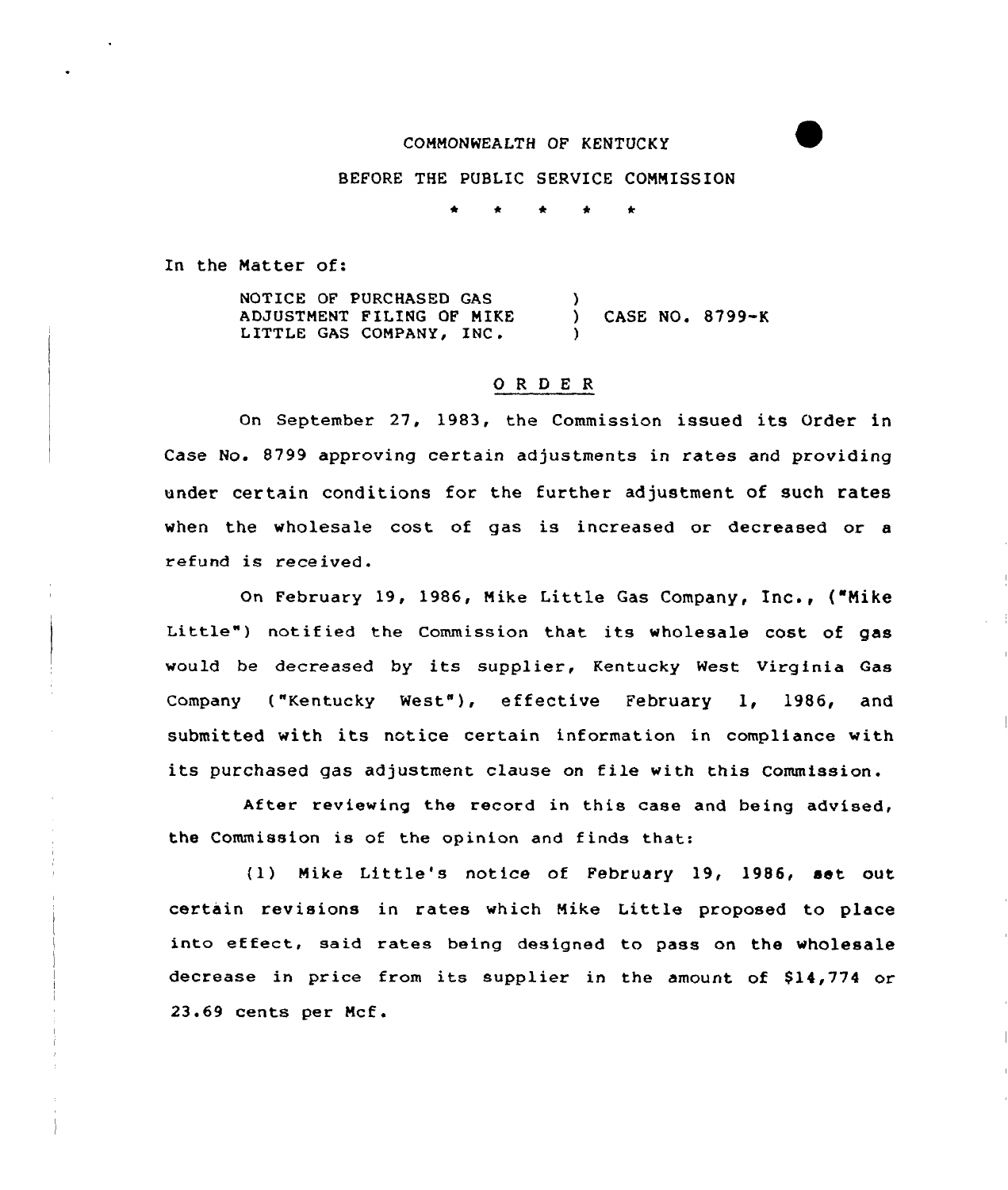## COMMONWEALTH OF KENTUCKY

BEFORE THE PUBLIC SERVICE COMMISSION

In the Matter of:

NOTICE OF PURCHASED GAS ADJUSTMENT FILING OF MIKE LITTLE GAS COMPANY, INC, ) ) CASE NO. 8799-K )

## ORDER

On September 27, 1983, the Commission issued its Order in Case No. 8799 approving certain adjustments in rates and providing under certain conditions for the further adjustment of such rates when the wholesale cost of gas is increased or decreased or a refund is received.

On February 19, 1986, Mike Little Gas Company, Inc., ("Mike Little") notified the Commission that its wholesale cost of gas would be decreased by its supplier, Kentucky West Virginia Gas Company ("Kentucky West"), effective February 1, 1986, and submitted with its notice certain information in compliance with its purchased gas adjustment clause on file with this Commission.

After reviewing the record in this case and being advised, the Commission is of the opinion and finds that:

(1) Mike Little's notice of February 19, 1986, set out certain revisions in rates which Mike Little proposed to place into effect, said rates being designed to pass on the wholesale decrease in price from its supplier in the amount of \$14,774 or 23.69 cents per Mcf.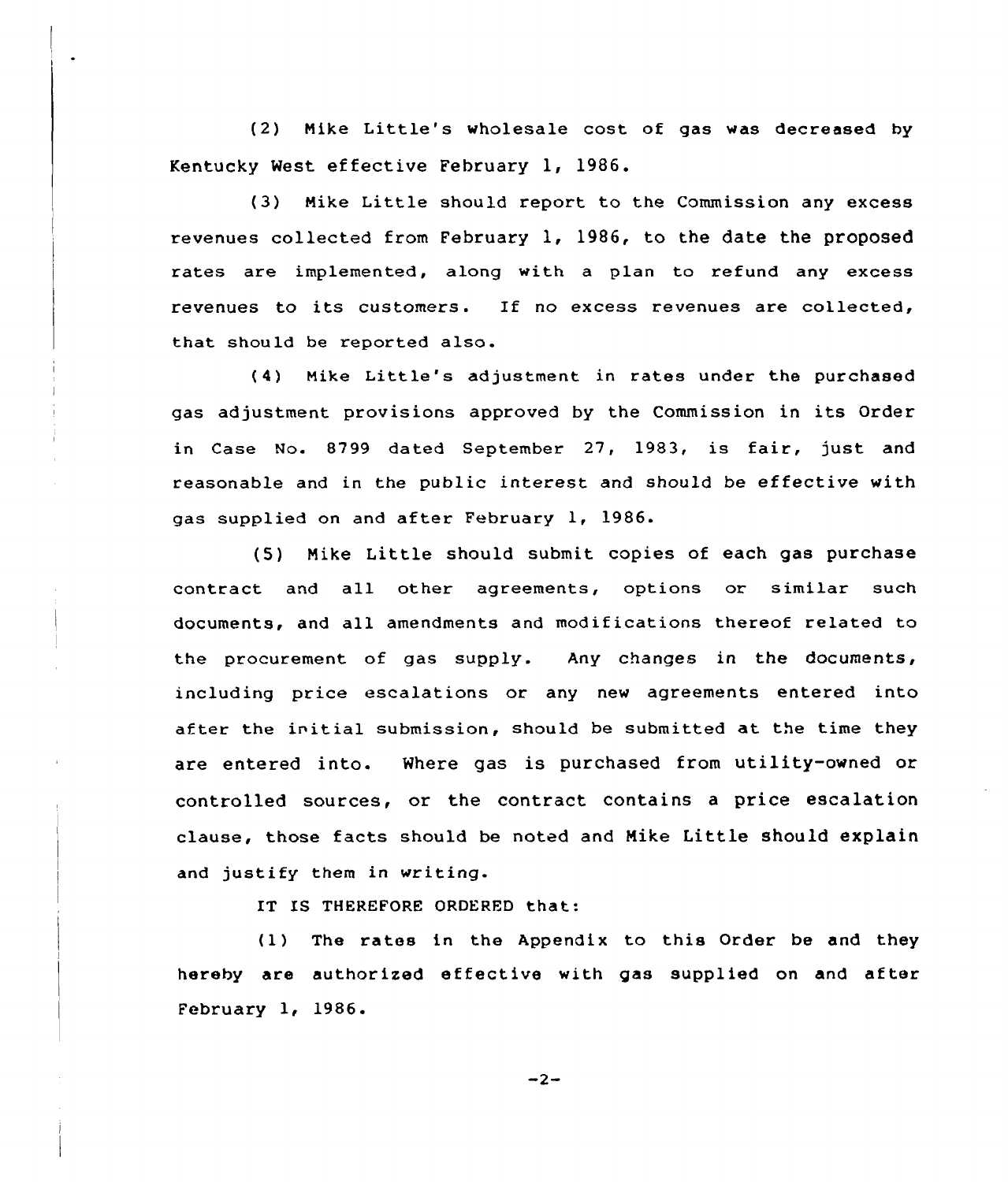(2) Nike Little's wholesale cost of gas was decreased by Kentucky West effective February 1, 1986.

(3) Nike Little should report to the Commission any excess revenues collected from February 1, 1986, to the date the proposed rates are implemented, along with a plan to refund any excess revenues to its customers. If no excess revenues are collected, that should be reported also.

(4) Hike Little's adjustment in rates under the purchased gas adjustment provisions approved by the Commission in its Order in Case No. 8799 dated September 27, 1983, is fair, just and reasonable and in the public interest and should be effective with gas supplied on and after February 1, 1986.

(5) Nike Little should submit copies of each gas purchase contract and all other agreements, options or similar such documents, and all amendments and modifications thereof related to the procurement of gas supply. Any changes in the documents, including price escalations or any new agreements entered into after the initial submission, should be submitted at the time they are entered into. Where gas is purchased from utility-owned or controlled sources, or the contract contains a price escalation clause, those facts should be noted and Mike Little should explain and justify them in writing.

IT IS THEREFORE ORDERED that:

(1) The rates in the Appendix to this Order be and they hereby are authorised effective with gas supplied on and after February 1, 1986.

 $-2-$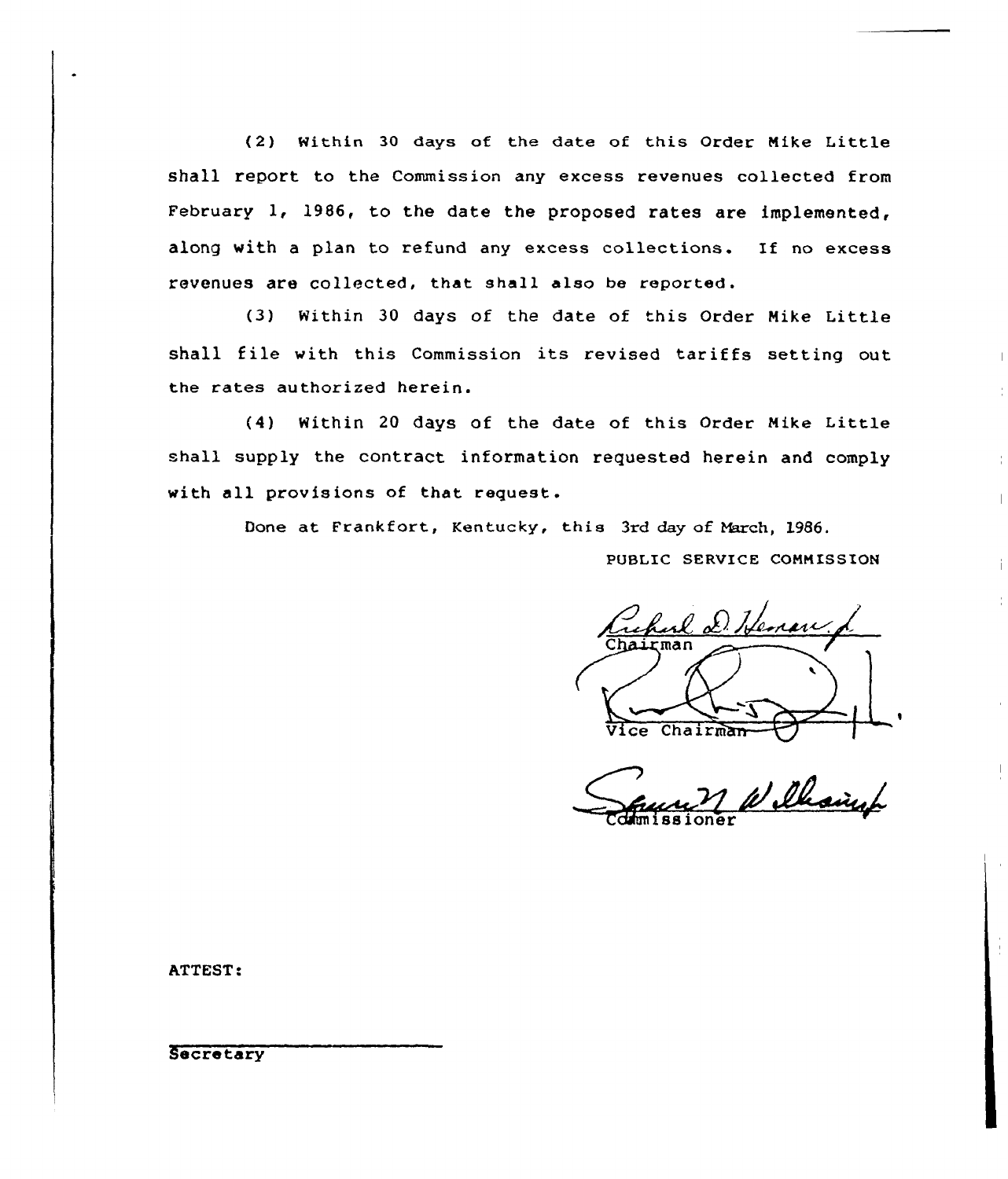(2) Within <sup>30</sup> days of the date of this Order Nike Little shall report to the Commission any excess revenues collected from February 1, 1986, to the date the proposed rates are implemented, along with <sup>a</sup> plan to refund any excess collections. If no excess revenues are collected, that shall also be reported.

(3) Within 30 days of the date of this Order Mike Little shall file with this Commission its revised tariffs setting out the rates authorized herein.

(4) Within 20 days of the date of this Order Mike Little shall supply the contract information requested herein and comply with all provisions of that request.

Done at Frankfort, Kentucky, this 3rd day of March, 1986.

PUBLIC SERVICE CONNISSION

report D. Henan.

Vice Chairman VIII Commissioner

ATTEST:

Secretary